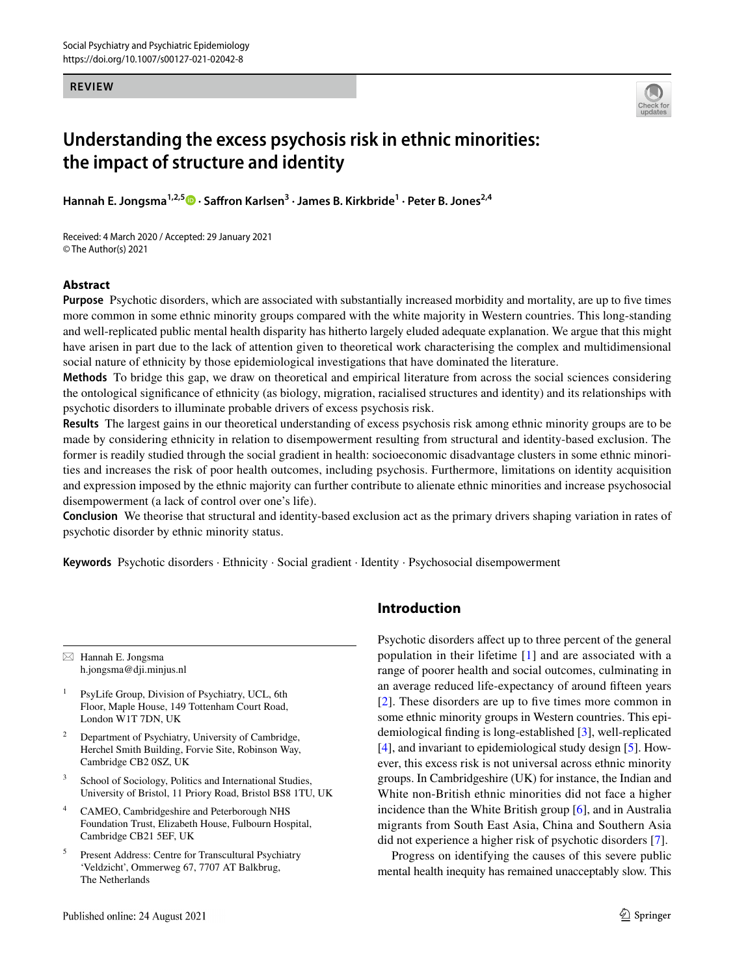#### **REVIEW**



# **Understanding the excess psychosis risk in ethnic minorities: the impact of structure and identity**

**Hannah E. Jongsma1,2,5  [·](http://orcid.org/0000-0001-6346-5903) Safron Karlsen3 · James B. Kirkbride1 · Peter B. Jones2,4**

Received: 4 March 2020 / Accepted: 29 January 2021 © The Author(s) 2021

#### **Abstract**

**Purpose** Psychotic disorders, which are associated with substantially increased morbidity and mortality, are up to five times more common in some ethnic minority groups compared with the white majority in Western countries. This long-standing and well-replicated public mental health disparity has hitherto largely eluded adequate explanation. We argue that this might have arisen in part due to the lack of attention given to theoretical work characterising the complex and multidimensional social nature of ethnicity by those epidemiological investigations that have dominated the literature.

**Methods** To bridge this gap, we draw on theoretical and empirical literature from across the social sciences considering the ontological signifcance of ethnicity (as biology, migration, racialised structures and identity) and its relationships with psychotic disorders to illuminate probable drivers of excess psychosis risk.

**Results** The largest gains in our theoretical understanding of excess psychosis risk among ethnic minority groups are to be made by considering ethnicity in relation to disempowerment resulting from structural and identity-based exclusion. The former is readily studied through the social gradient in health: socioeconomic disadvantage clusters in some ethnic minorities and increases the risk of poor health outcomes, including psychosis. Furthermore, limitations on identity acquisition and expression imposed by the ethnic majority can further contribute to alienate ethnic minorities and increase psychosocial disempowerment (a lack of control over one's life).

**Conclusion** We theorise that structural and identity-based exclusion act as the primary drivers shaping variation in rates of psychotic disorder by ethnic minority status.

**Keywords** Psychotic disorders · Ethnicity · Social gradient · Identity · Psychosocial disempowerment

 $\boxtimes$  Hannah E. Jongsma h.jongsma@dji.minjus.nl

- <sup>1</sup> PsyLife Group, Division of Psychiatry, UCL, 6th Floor, Maple House, 149 Tottenham Court Road, London W1T 7DN, UK
- <sup>2</sup> Department of Psychiatry, University of Cambridge, Herchel Smith Building, Forvie Site, Robinson Way, Cambridge CB2 0SZ, UK
- <sup>3</sup> School of Sociology, Politics and International Studies, University of Bristol, 11 Priory Road, Bristol BS8 1TU, UK
- <sup>4</sup> CAMEO, Cambridgeshire and Peterborough NHS Foundation Trust, Elizabeth House, Fulbourn Hospital, Cambridge CB21 5EF, UK
- Present Address: Centre for Transcultural Psychiatry 'Veldzicht', Ommerweg 67, 7707 AT Balkbrug, The Netherlands

## **Introduction**

Psychotic disorders afect up to three percent of the general population in their lifetime [\[1](#page-6-0)] and are associated with a range of poorer health and social outcomes, culminating in an average reduced life-expectancy of around ffteen years [[2\]](#page-6-1). These disorders are up to fve times more common in some ethnic minority groups in Western countries. This epidemiological fnding is long-established [\[3](#page-7-0)], well-replicated [\[4](#page-7-1)], and invariant to epidemiological study design [[5\]](#page-7-2). However, this excess risk is not universal across ethnic minority groups. In Cambridgeshire (UK) for instance, the Indian and White non-British ethnic minorities did not face a higher incidence than the White British group [\[6](#page-7-3)], and in Australia migrants from South East Asia, China and Southern Asia did not experience a higher risk of psychotic disorders [[7\]](#page-7-4).

Progress on identifying the causes of this severe public mental health inequity has remained unacceptably slow. This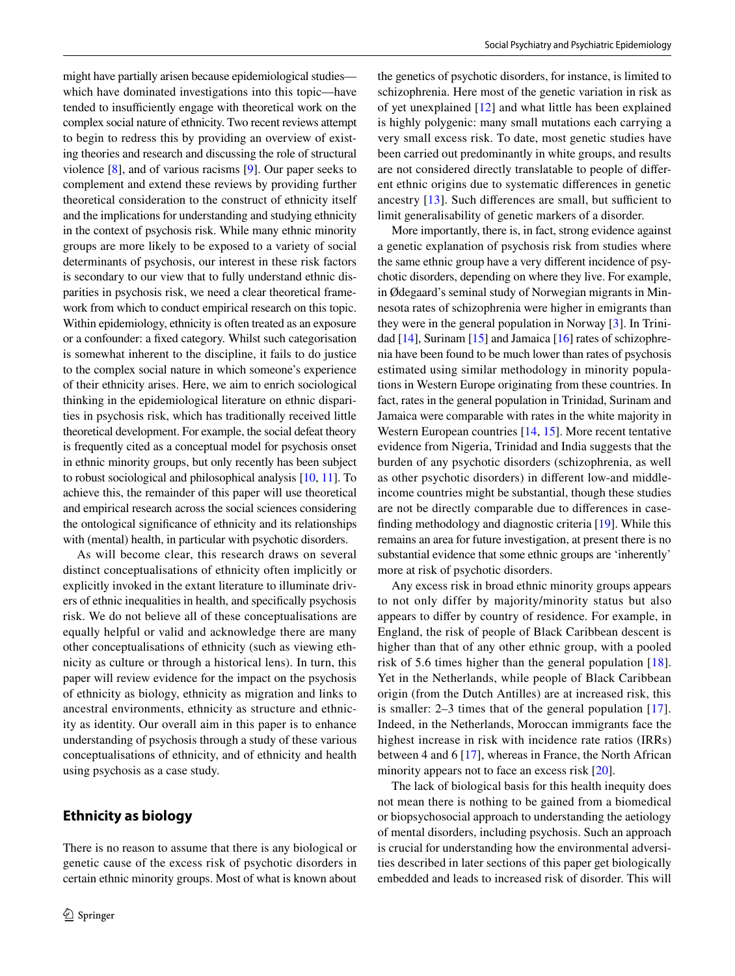might have partially arisen because epidemiological studies which have dominated investigations into this topic—have tended to insufficiently engage with theoretical work on the complex social nature of ethnicity. Two recent reviews attempt to begin to redress this by providing an overview of existing theories and research and discussing the role of structural violence [[8\]](#page-7-5), and of various racisms [[9\]](#page-7-6). Our paper seeks to complement and extend these reviews by providing further theoretical consideration to the construct of ethnicity itself and the implications for understanding and studying ethnicity in the context of psychosis risk. While many ethnic minority groups are more likely to be exposed to a variety of social determinants of psychosis, our interest in these risk factors is secondary to our view that to fully understand ethnic disparities in psychosis risk, we need a clear theoretical framework from which to conduct empirical research on this topic. Within epidemiology, ethnicity is often treated as an exposure or a confounder: a fxed category. Whilst such categorisation is somewhat inherent to the discipline, it fails to do justice to the complex social nature in which someone's experience of their ethnicity arises. Here, we aim to enrich sociological thinking in the epidemiological literature on ethnic disparities in psychosis risk, which has traditionally received little theoretical development. For example, the social defeat theory is frequently cited as a conceptual model for psychosis onset in ethnic minority groups, but only recently has been subject to robust sociological and philosophical analysis [\[10,](#page-7-7) [11](#page-7-8)]. To achieve this, the remainder of this paper will use theoretical and empirical research across the social sciences considering the ontological signifcance of ethnicity and its relationships with (mental) health, in particular with psychotic disorders.

As will become clear, this research draws on several distinct conceptualisations of ethnicity often implicitly or explicitly invoked in the extant literature to illuminate drivers of ethnic inequalities in health, and specifcally psychosis risk. We do not believe all of these conceptualisations are equally helpful or valid and acknowledge there are many other conceptualisations of ethnicity (such as viewing ethnicity as culture or through a historical lens). In turn, this paper will review evidence for the impact on the psychosis of ethnicity as biology, ethnicity as migration and links to ancestral environments, ethnicity as structure and ethnicity as identity. Our overall aim in this paper is to enhance understanding of psychosis through a study of these various conceptualisations of ethnicity, and of ethnicity and health using psychosis as a case study.

## **Ethnicity as biology**

There is no reason to assume that there is any biological or genetic cause of the excess risk of psychotic disorders in certain ethnic minority groups. Most of what is known about the genetics of psychotic disorders, for instance, is limited to schizophrenia. Here most of the genetic variation in risk as of yet unexplained [\[12](#page-7-9)] and what little has been explained is highly polygenic: many small mutations each carrying a very small excess risk. To date, most genetic studies have been carried out predominantly in white groups, and results are not considered directly translatable to people of diferent ethnic origins due to systematic diferences in genetic ancestry  $[13]$  $[13]$ . Such differences are small, but sufficient to limit generalisability of genetic markers of a disorder.

More importantly, there is, in fact, strong evidence against a genetic explanation of psychosis risk from studies where the same ethnic group have a very diferent incidence of psychotic disorders, depending on where they live. For example, in Ødegaard's seminal study of Norwegian migrants in Minnesota rates of schizophrenia were higher in emigrants than they were in the general population in Norway [[3\]](#page-7-0). In Trinidad [[14\]](#page-7-11), Surinam [[15\]](#page-7-12) and Jamaica [[16\]](#page-7-13) rates of schizophrenia have been found to be much lower than rates of psychosis estimated using similar methodology in minority populations in Western Europe originating from these countries. In fact, rates in the general population in Trinidad, Surinam and Jamaica were comparable with rates in the white majority in Western European countries [\[14](#page-7-11), [15](#page-7-12)]. More recent tentative evidence from Nigeria, Trinidad and India suggests that the burden of any psychotic disorders (schizophrenia, as well as other psychotic disorders) in diferent low-and middleincome countries might be substantial, though these studies are not be directly comparable due to diferences in casefnding methodology and diagnostic criteria [\[19](#page-7-14)]. While this remains an area for future investigation, at present there is no substantial evidence that some ethnic groups are 'inherently' more at risk of psychotic disorders.

Any excess risk in broad ethnic minority groups appears to not only differ by majority/minority status but also appears to difer by country of residence. For example, in England, the risk of people of Black Caribbean descent is higher than that of any other ethnic group, with a pooled risk of 5.6 times higher than the general population [[18](#page-7-15)]. Yet in the Netherlands, while people of Black Caribbean origin (from the Dutch Antilles) are at increased risk, this is smaller: 2–3 times that of the general population [[17](#page-7-16)]. Indeed, in the Netherlands, Moroccan immigrants face the highest increase in risk with incidence rate ratios (IRRs) between 4 and 6 [[17\]](#page-7-16), whereas in France, the North African minority appears not to face an excess risk [[20](#page-7-17)].

The lack of biological basis for this health inequity does not mean there is nothing to be gained from a biomedical or biopsychosocial approach to understanding the aetiology of mental disorders, including psychosis. Such an approach is crucial for understanding how the environmental adversities described in later sections of this paper get biologically embedded and leads to increased risk of disorder. This will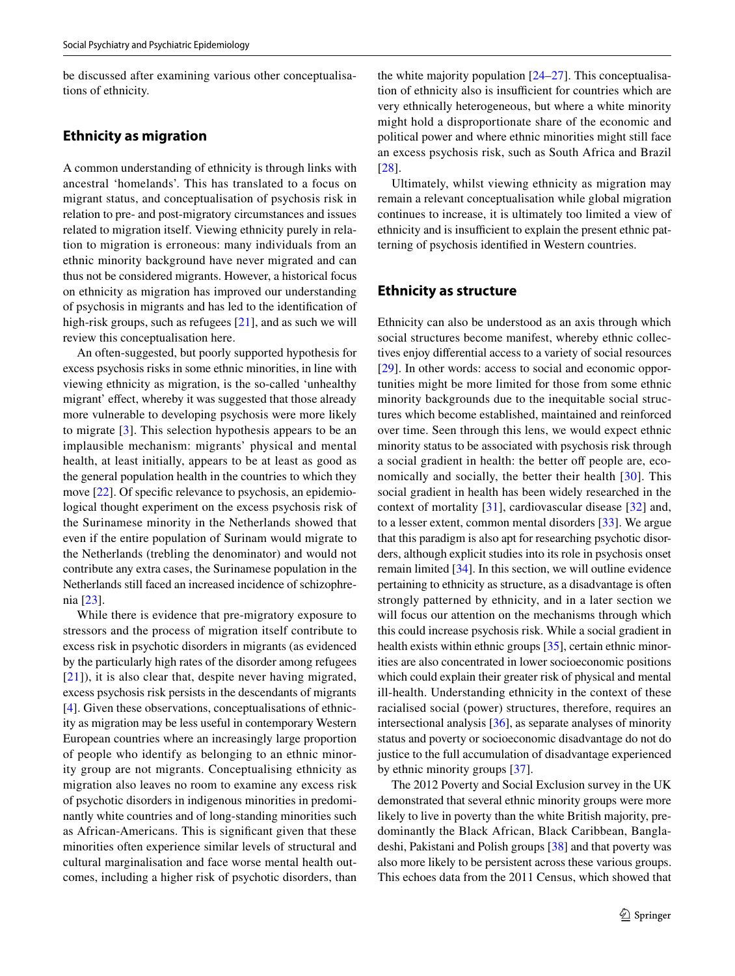be discussed after examining various other conceptualisations of ethnicity.

#### **Ethnicity as migration**

A common understanding of ethnicity is through links with ancestral 'homelands'. This has translated to a focus on migrant status, and conceptualisation of psychosis risk in relation to pre- and post-migratory circumstances and issues related to migration itself. Viewing ethnicity purely in relation to migration is erroneous: many individuals from an ethnic minority background have never migrated and can thus not be considered migrants. However, a historical focus on ethnicity as migration has improved our understanding of psychosis in migrants and has led to the identifcation of high-risk groups, such as refugees [\[21](#page-7-18)], and as such we will review this conceptualisation here.

An often-suggested, but poorly supported hypothesis for excess psychosis risks in some ethnic minorities, in line with viewing ethnicity as migration, is the so-called 'unhealthy migrant' effect, whereby it was suggested that those already more vulnerable to developing psychosis were more likely to migrate [[3](#page-7-0)]. This selection hypothesis appears to be an implausible mechanism: migrants' physical and mental health, at least initially, appears to be at least as good as the general population health in the countries to which they move [[22\]](#page-7-19). Of specific relevance to psychosis, an epidemiological thought experiment on the excess psychosis risk of the Surinamese minority in the Netherlands showed that even if the entire population of Surinam would migrate to the Netherlands (trebling the denominator) and would not contribute any extra cases, the Surinamese population in the Netherlands still faced an increased incidence of schizophrenia [\[23](#page-7-20)].

While there is evidence that pre-migratory exposure to stressors and the process of migration itself contribute to excess risk in psychotic disorders in migrants (as evidenced by the particularly high rates of the disorder among refugees [[21\]](#page-7-18)), it is also clear that, despite never having migrated, excess psychosis risk persists in the descendants of migrants [\[4](#page-7-1)]. Given these observations, conceptualisations of ethnicity as migration may be less useful in contemporary Western European countries where an increasingly large proportion of people who identify as belonging to an ethnic minority group are not migrants. Conceptualising ethnicity as migration also leaves no room to examine any excess risk of psychotic disorders in indigenous minorities in predominantly white countries and of long-standing minorities such as African-Americans. This is signifcant given that these minorities often experience similar levels of structural and cultural marginalisation and face worse mental health outcomes, including a higher risk of psychotic disorders, than the white majority population [[24–](#page-7-21)[27](#page-7-22)]. This conceptualisation of ethnicity also is insufficient for countries which are very ethnically heterogeneous, but where a white minority might hold a disproportionate share of the economic and political power and where ethnic minorities might still face an excess psychosis risk, such as South Africa and Brazil [[28\]](#page-7-22).

Ultimately, whilst viewing ethnicity as migration may remain a relevant conceptualisation while global migration continues to increase, it is ultimately too limited a view of ethnicity and is insufficient to explain the present ethnic patterning of psychosis identifed in Western countries.

#### **Ethnicity as structure**

Ethnicity can also be understood as an axis through which social structures become manifest, whereby ethnic collectives enjoy diferential access to a variety of social resources [[29\]](#page-7-23). In other words: access to social and economic opportunities might be more limited for those from some ethnic minority backgrounds due to the inequitable social structures which become established, maintained and reinforced over time. Seen through this lens, we would expect ethnic minority status to be associated with psychosis risk through a social gradient in health: the better off people are, economically and socially, the better their health [[30](#page-7-24)]. This social gradient in health has been widely researched in the context of mortality [[31](#page-7-25)], cardiovascular disease [[32\]](#page-7-26) and, to a lesser extent, common mental disorders [\[33](#page-7-27)]. We argue that this paradigm is also apt for researching psychotic disorders, although explicit studies into its role in psychosis onset remain limited [[34\]](#page-7-28). In this section, we will outline evidence pertaining to ethnicity as structure, as a disadvantage is often strongly patterned by ethnicity, and in a later section we will focus our attention on the mechanisms through which this could increase psychosis risk. While a social gradient in health exists within ethnic groups [[35\]](#page-7-29), certain ethnic minorities are also concentrated in lower socioeconomic positions which could explain their greater risk of physical and mental ill-health. Understanding ethnicity in the context of these racialised social (power) structures, therefore, requires an intersectional analysis [[36\]](#page-7-30), as separate analyses of minority status and poverty or socioeconomic disadvantage do not do justice to the full accumulation of disadvantage experienced by ethnic minority groups [\[37\]](#page-7-31).

The 2012 Poverty and Social Exclusion survey in the UK demonstrated that several ethnic minority groups were more likely to live in poverty than the white British majority, predominantly the Black African, Black Caribbean, Bangladeshi, Pakistani and Polish groups [\[38](#page-7-32)] and that poverty was also more likely to be persistent across these various groups. This echoes data from the 2011 Census, which showed that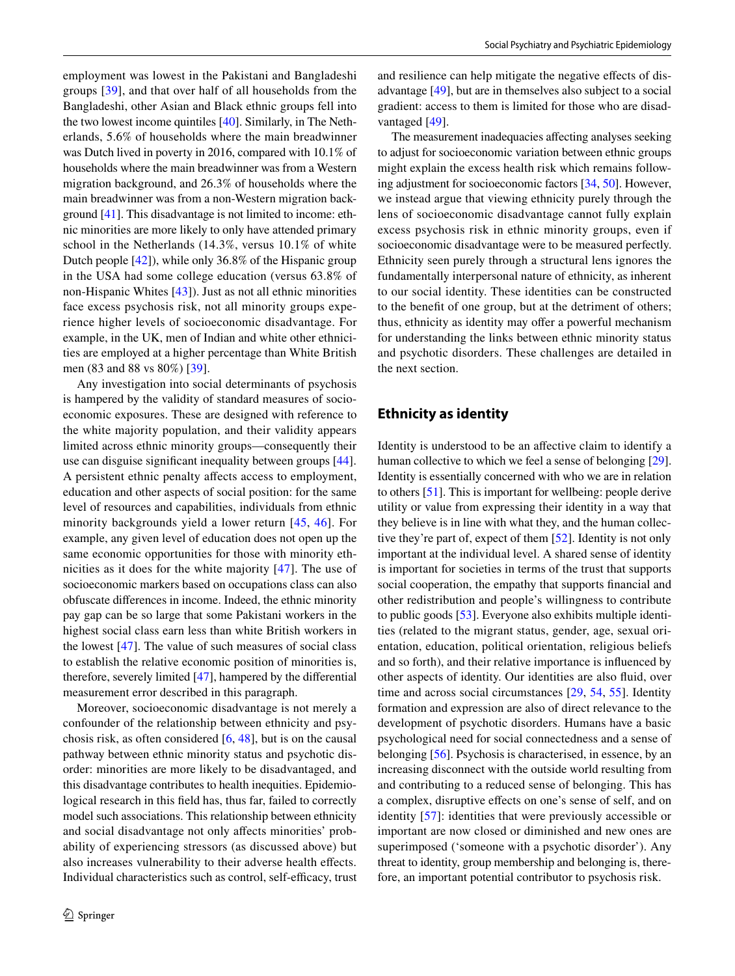employment was lowest in the Pakistani and Bangladeshi groups [\[39\]](#page-7-33), and that over half of all households from the Bangladeshi, other Asian and Black ethnic groups fell into the two lowest income quintiles [[40\]](#page-8-0). Similarly, in The Netherlands, 5.6% of households where the main breadwinner was Dutch lived in poverty in 2016, compared with 10.1% of households where the main breadwinner was from a Western migration background, and 26.3% of households where the main breadwinner was from a non-Western migration background [[41\]](#page-8-1). This disadvantage is not limited to income: ethnic minorities are more likely to only have attended primary school in the Netherlands (14.3%, versus 10.1% of white Dutch people [[42\]](#page-8-2)), while only 36.8% of the Hispanic group in the USA had some college education (versus 63.8% of non-Hispanic Whites [\[43](#page-8-3)]). Just as not all ethnic minorities face excess psychosis risk, not all minority groups experience higher levels of socioeconomic disadvantage. For example, in the UK, men of Indian and white other ethnicities are employed at a higher percentage than White British men (83 and 88 vs 80%) [\[39](#page-7-33)].

Any investigation into social determinants of psychosis is hampered by the validity of standard measures of socioeconomic exposures. These are designed with reference to the white majority population, and their validity appears limited across ethnic minority groups—consequently their use can disguise signifcant inequality between groups [\[44](#page-8-4)]. A persistent ethnic penalty afects access to employment, education and other aspects of social position: for the same level of resources and capabilities, individuals from ethnic minority backgrounds yield a lower return [\[45,](#page-8-5) [46](#page-8-6)]. For example, any given level of education does not open up the same economic opportunities for those with minority ethnicities as it does for the white majority [[47\]](#page-8-7). The use of socioeconomic markers based on occupations class can also obfuscate diferences in income. Indeed, the ethnic minority pay gap can be so large that some Pakistani workers in the highest social class earn less than white British workers in the lowest [\[47](#page-8-7)]. The value of such measures of social class to establish the relative economic position of minorities is, therefore, severely limited [[47\]](#page-8-7), hampered by the diferential measurement error described in this paragraph.

Moreover, socioeconomic disadvantage is not merely a confounder of the relationship between ethnicity and psychosis risk, as often considered [\[6](#page-7-3), [48](#page-8-8)], but is on the causal pathway between ethnic minority status and psychotic disorder: minorities are more likely to be disadvantaged, and this disadvantage contributes to health inequities. Epidemiological research in this feld has, thus far, failed to correctly model such associations. This relationship between ethnicity and social disadvantage not only afects minorities' probability of experiencing stressors (as discussed above) but also increases vulnerability to their adverse health effects. Individual characteristics such as control, self-efficacy, trust and resilience can help mitigate the negative efects of disadvantage [[49\]](#page-8-9), but are in themselves also subject to a social gradient: access to them is limited for those who are disadvantaged [\[49](#page-8-10)].

The measurement inadequacies afecting analyses seeking to adjust for socioeconomic variation between ethnic groups might explain the excess health risk which remains following adjustment for socioeconomic factors [[34,](#page-7-28) [50](#page-8-10)]. However, we instead argue that viewing ethnicity purely through the lens of socioeconomic disadvantage cannot fully explain excess psychosis risk in ethnic minority groups, even if socioeconomic disadvantage were to be measured perfectly. Ethnicity seen purely through a structural lens ignores the fundamentally interpersonal nature of ethnicity, as inherent to our social identity. These identities can be constructed to the beneft of one group, but at the detriment of others; thus, ethnicity as identity may offer a powerful mechanism for understanding the links between ethnic minority status and psychotic disorders. These challenges are detailed in the next section.

#### **Ethnicity as identity**

Identity is understood to be an afective claim to identify a human collective to which we feel a sense of belonging [[29](#page-7-23)]. Identity is essentially concerned with who we are in relation to others [[51\]](#page-8-11). This is important for wellbeing: people derive utility or value from expressing their identity in a way that they believe is in line with what they, and the human collective they're part of, expect of them [\[52](#page-8-11)]. Identity is not only important at the individual level. A shared sense of identity is important for societies in terms of the trust that supports social cooperation, the empathy that supports fnancial and other redistribution and people's willingness to contribute to public goods [[53\]](#page-8-12). Everyone also exhibits multiple identities (related to the migrant status, gender, age, sexual orientation, education, political orientation, religious beliefs and so forth), and their relative importance is infuenced by other aspects of identity. Our identities are also fuid, over time and across social circumstances [[29,](#page-7-23) [54](#page-8-13), [55\]](#page-8-14). Identity formation and expression are also of direct relevance to the development of psychotic disorders. Humans have a basic psychological need for social connectedness and a sense of belonging [[56\]](#page-8-15). Psychosis is characterised, in essence, by an increasing disconnect with the outside world resulting from and contributing to a reduced sense of belonging. This has a complex, disruptive efects on one's sense of self, and on identity [[57](#page-8-16)]: identities that were previously accessible or important are now closed or diminished and new ones are superimposed ('someone with a psychotic disorder'). Any threat to identity, group membership and belonging is, therefore, an important potential contributor to psychosis risk.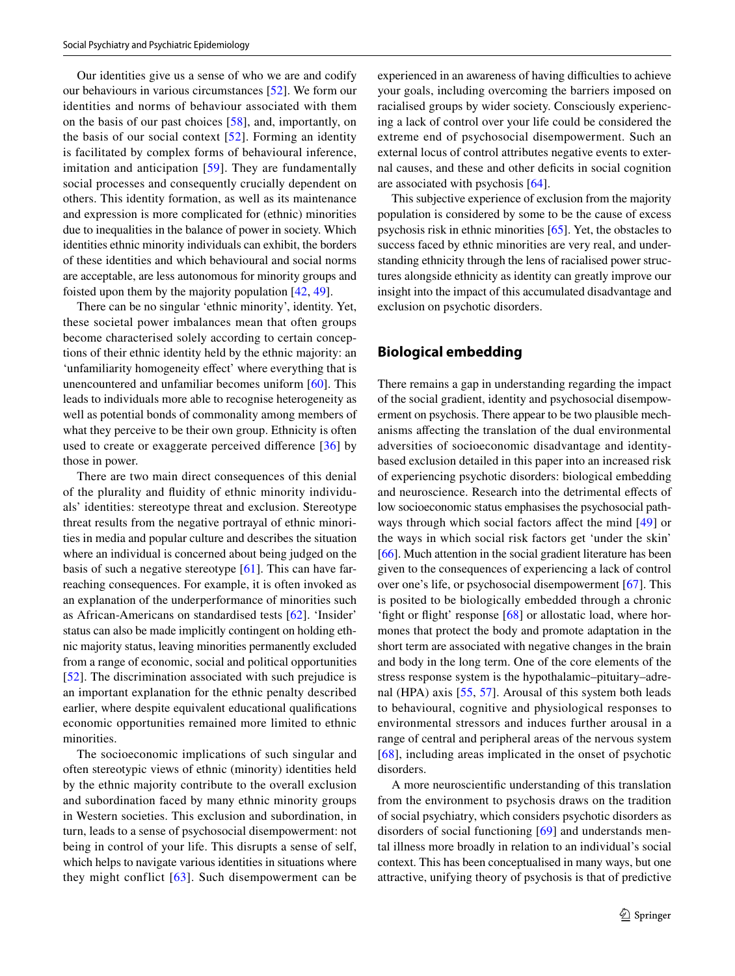Our identities give us a sense of who we are and codify our behaviours in various circumstances [\[52](#page-8-11)]. We form our identities and norms of behaviour associated with them on the basis of our past choices [[58](#page-8-17)], and, importantly, on the basis of our social context [\[52\]](#page-8-11). Forming an identity is facilitated by complex forms of behavioural inference, imitation and anticipation [[59](#page-8-18)]. They are fundamentally social processes and consequently crucially dependent on others. This identity formation, as well as its maintenance and expression is more complicated for (ethnic) minorities due to inequalities in the balance of power in society. Which identities ethnic minority individuals can exhibit, the borders of these identities and which behavioural and social norms are acceptable, are less autonomous for minority groups and foisted upon them by the majority population [\[42](#page-8-2), [49](#page-8-9)].

There can be no singular 'ethnic minority', identity. Yet, these societal power imbalances mean that often groups become characterised solely according to certain conceptions of their ethnic identity held by the ethnic majority: an 'unfamiliarity homogeneity effect' where everything that is unencountered and unfamiliar becomes uniform [\[60](#page-8-19)]. This leads to individuals more able to recognise heterogeneity as well as potential bonds of commonality among members of what they perceive to be their own group. Ethnicity is often used to create or exaggerate perceived difference [\[36\]](#page-7-30) by those in power.

There are two main direct consequences of this denial of the plurality and fuidity of ethnic minority individuals' identities: stereotype threat and exclusion. Stereotype threat results from the negative portrayal of ethnic minorities in media and popular culture and describes the situation where an individual is concerned about being judged on the basis of such a negative stereotype  $[61]$  $[61]$ . This can have farreaching consequences. For example, it is often invoked as an explanation of the underperformance of minorities such as African-Americans on standardised tests [\[62](#page-8-21)]. 'Insider' status can also be made implicitly contingent on holding ethnic majority status, leaving minorities permanently excluded from a range of economic, social and political opportunities [\[52\]](#page-8-11). The discrimination associated with such prejudice is an important explanation for the ethnic penalty described earlier, where despite equivalent educational qualifcations economic opportunities remained more limited to ethnic minorities.

The socioeconomic implications of such singular and often stereotypic views of ethnic (minority) identities held by the ethnic majority contribute to the overall exclusion and subordination faced by many ethnic minority groups in Western societies. This exclusion and subordination, in turn, leads to a sense of psychosocial disempowerment: not being in control of your life. This disrupts a sense of self, which helps to navigate various identities in situations where they might conflict  $[63]$  $[63]$  $[63]$ . Such disempowerment can be

experienced in an awareness of having difficulties to achieve your goals, including overcoming the barriers imposed on racialised groups by wider society. Consciously experiencing a lack of control over your life could be considered the extreme end of psychosocial disempowerment. Such an external locus of control attributes negative events to external causes, and these and other defcits in social cognition are associated with psychosis [\[64](#page-8-23)].

This subjective experience of exclusion from the majority population is considered by some to be the cause of excess psychosis risk in ethnic minorities [[65\]](#page-8-24). Yet, the obstacles to success faced by ethnic minorities are very real, and understanding ethnicity through the lens of racialised power structures alongside ethnicity as identity can greatly improve our insight into the impact of this accumulated disadvantage and exclusion on psychotic disorders.

#### **Biological embedding**

There remains a gap in understanding regarding the impact of the social gradient, identity and psychosocial disempowerment on psychosis. There appear to be two plausible mechanisms afecting the translation of the dual environmental adversities of socioeconomic disadvantage and identitybased exclusion detailed in this paper into an increased risk of experiencing psychotic disorders: biological embedding and neuroscience. Research into the detrimental effects of low socioeconomic status emphasises the psychosocial path-ways through which social factors affect the mind [[49](#page-8-9)] or the ways in which social risk factors get 'under the skin' [\[66](#page-8-25)]. Much attention in the social gradient literature has been given to the consequences of experiencing a lack of control over one's life, or psychosocial disempowerment [[67](#page-8-26)]. This is posited to be biologically embedded through a chronic 'fght or fight' response [[68\]](#page-8-27) or allostatic load, where hormones that protect the body and promote adaptation in the short term are associated with negative changes in the brain and body in the long term. One of the core elements of the stress response system is the hypothalamic–pituitary–adrenal (HPA) axis [\[55](#page-8-14), [57\]](#page-8-16). Arousal of this system both leads to behavioural, cognitive and physiological responses to environmental stressors and induces further arousal in a range of central and peripheral areas of the nervous system [[68\]](#page-8-27), including areas implicated in the onset of psychotic disorders.

A more neuroscientifc understanding of this translation from the environment to psychosis draws on the tradition of social psychiatry, which considers psychotic disorders as disorders of social functioning [[69](#page-8-28)] and understands mental illness more broadly in relation to an individual's social context. This has been conceptualised in many ways, but one attractive, unifying theory of psychosis is that of predictive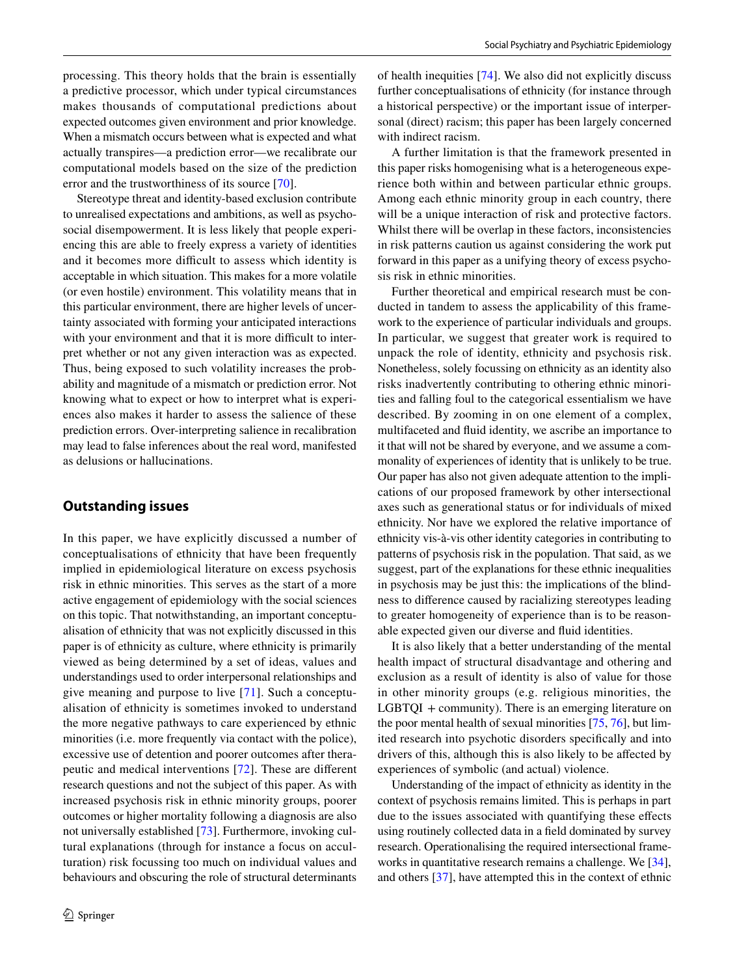processing. This theory holds that the brain is essentially a predictive processor, which under typical circumstances makes thousands of computational predictions about expected outcomes given environment and prior knowledge. When a mismatch occurs between what is expected and what actually transpires—a prediction error—we recalibrate our computational models based on the size of the prediction error and the trustworthiness of its source [[70\]](#page-8-29).

Stereotype threat and identity-based exclusion contribute to unrealised expectations and ambitions, as well as psychosocial disempowerment. It is less likely that people experiencing this are able to freely express a variety of identities and it becomes more difficult to assess which identity is acceptable in which situation. This makes for a more volatile (or even hostile) environment. This volatility means that in this particular environment, there are higher levels of uncertainty associated with forming your anticipated interactions with your environment and that it is more difficult to interpret whether or not any given interaction was as expected. Thus, being exposed to such volatility increases the probability and magnitude of a mismatch or prediction error. Not knowing what to expect or how to interpret what is experiences also makes it harder to assess the salience of these prediction errors. Over-interpreting salience in recalibration may lead to false inferences about the real word, manifested as delusions or hallucinations.

## **Outstanding issues**

In this paper, we have explicitly discussed a number of conceptualisations of ethnicity that have been frequently implied in epidemiological literature on excess psychosis risk in ethnic minorities. This serves as the start of a more active engagement of epidemiology with the social sciences on this topic. That notwithstanding, an important conceptualisation of ethnicity that was not explicitly discussed in this paper is of ethnicity as culture, where ethnicity is primarily viewed as being determined by a set of ideas, values and understandings used to order interpersonal relationships and give meaning and purpose to live [[71\]](#page-8-30). Such a conceptualisation of ethnicity is sometimes invoked to understand the more negative pathways to care experienced by ethnic minorities (i.e. more frequently via contact with the police), excessive use of detention and poorer outcomes after therapeutic and medical interventions [\[72\]](#page-8-31). These are diferent research questions and not the subject of this paper. As with increased psychosis risk in ethnic minority groups, poorer outcomes or higher mortality following a diagnosis are also not universally established [[73\]](#page-8-32). Furthermore, invoking cultural explanations (through for instance a focus on acculturation) risk focussing too much on individual values and behaviours and obscuring the role of structural determinants of health inequities [[74](#page-8-33)]. We also did not explicitly discuss further conceptualisations of ethnicity (for instance through a historical perspective) or the important issue of interpersonal (direct) racism; this paper has been largely concerned with indirect racism.

A further limitation is that the framework presented in this paper risks homogenising what is a heterogeneous experience both within and between particular ethnic groups. Among each ethnic minority group in each country, there will be a unique interaction of risk and protective factors. Whilst there will be overlap in these factors, inconsistencies in risk patterns caution us against considering the work put forward in this paper as a unifying theory of excess psychosis risk in ethnic minorities.

Further theoretical and empirical research must be conducted in tandem to assess the applicability of this framework to the experience of particular individuals and groups. In particular, we suggest that greater work is required to unpack the role of identity, ethnicity and psychosis risk. Nonetheless, solely focussing on ethnicity as an identity also risks inadvertently contributing to othering ethnic minorities and falling foul to the categorical essentialism we have described. By zooming in on one element of a complex, multifaceted and fuid identity, we ascribe an importance to it that will not be shared by everyone, and we assume a commonality of experiences of identity that is unlikely to be true. Our paper has also not given adequate attention to the implications of our proposed framework by other intersectional axes such as generational status or for individuals of mixed ethnicity. Nor have we explored the relative importance of ethnicity vis-à-vis other identity categories in contributing to patterns of psychosis risk in the population. That said, as we suggest, part of the explanations for these ethnic inequalities in psychosis may be just this: the implications of the blindness to diference caused by racializing stereotypes leading to greater homogeneity of experience than is to be reasonable expected given our diverse and fuid identities.

It is also likely that a better understanding of the mental health impact of structural disadvantage and othering and exclusion as a result of identity is also of value for those in other minority groups (e.g. religious minorities, the  $LGBTQI + community$ ). There is an emerging literature on the poor mental health of sexual minorities [\[75](#page-8-34), [76\]](#page-8-35), but limited research into psychotic disorders specifcally and into drivers of this, although this is also likely to be afected by experiences of symbolic (and actual) violence.

Understanding of the impact of ethnicity as identity in the context of psychosis remains limited. This is perhaps in part due to the issues associated with quantifying these efects using routinely collected data in a feld dominated by survey research. Operationalising the required intersectional frameworks in quantitative research remains a challenge. We [\[34](#page-7-28)], and others [[37\]](#page-7-31), have attempted this in the context of ethnic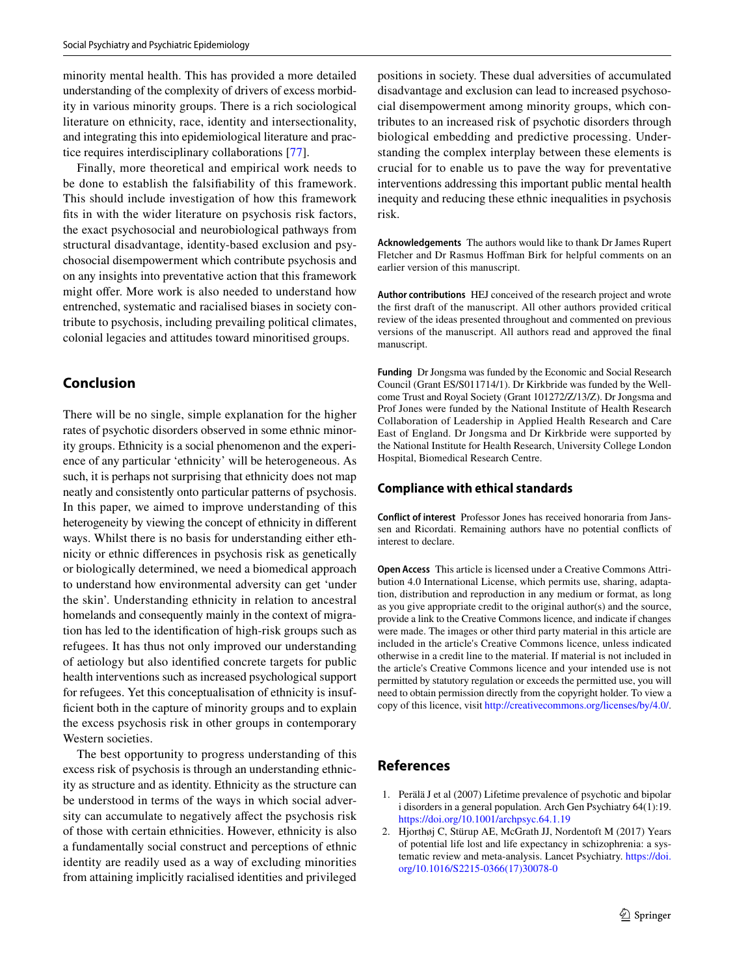minority mental health. This has provided a more detailed understanding of the complexity of drivers of excess morbidity in various minority groups. There is a rich sociological literature on ethnicity, race, identity and intersectionality, and integrating this into epidemiological literature and practice requires interdisciplinary collaborations [\[77](#page-8-36)].

Finally, more theoretical and empirical work needs to be done to establish the falsifability of this framework. This should include investigation of how this framework fts in with the wider literature on psychosis risk factors, the exact psychosocial and neurobiological pathways from structural disadvantage, identity-based exclusion and psychosocial disempowerment which contribute psychosis and on any insights into preventative action that this framework might offer. More work is also needed to understand how entrenched, systematic and racialised biases in society contribute to psychosis, including prevailing political climates, colonial legacies and attitudes toward minoritised groups.

## **Conclusion**

There will be no single, simple explanation for the higher rates of psychotic disorders observed in some ethnic minority groups. Ethnicity is a social phenomenon and the experience of any particular 'ethnicity' will be heterogeneous. As such, it is perhaps not surprising that ethnicity does not map neatly and consistently onto particular patterns of psychosis. In this paper, we aimed to improve understanding of this heterogeneity by viewing the concept of ethnicity in diferent ways. Whilst there is no basis for understanding either ethnicity or ethnic diferences in psychosis risk as genetically or biologically determined, we need a biomedical approach to understand how environmental adversity can get 'under the skin'. Understanding ethnicity in relation to ancestral homelands and consequently mainly in the context of migration has led to the identifcation of high-risk groups such as refugees. It has thus not only improved our understanding of aetiology but also identifed concrete targets for public health interventions such as increased psychological support for refugees. Yet this conceptualisation of ethnicity is insuffcient both in the capture of minority groups and to explain the excess psychosis risk in other groups in contemporary Western societies.

The best opportunity to progress understanding of this excess risk of psychosis is through an understanding ethnicity as structure and as identity. Ethnicity as the structure can be understood in terms of the ways in which social adversity can accumulate to negatively afect the psychosis risk of those with certain ethnicities. However, ethnicity is also a fundamentally social construct and perceptions of ethnic identity are readily used as a way of excluding minorities from attaining implicitly racialised identities and privileged positions in society. These dual adversities of accumulated disadvantage and exclusion can lead to increased psychosocial disempowerment among minority groups, which contributes to an increased risk of psychotic disorders through biological embedding and predictive processing. Understanding the complex interplay between these elements is crucial for to enable us to pave the way for preventative interventions addressing this important public mental health inequity and reducing these ethnic inequalities in psychosis risk.

**Acknowledgements** The authors would like to thank Dr James Rupert Fletcher and Dr Rasmus Hoffman Birk for helpful comments on an earlier version of this manuscript.

**Author contributions** HEJ conceived of the research project and wrote the frst draft of the manuscript. All other authors provided critical review of the ideas presented throughout and commented on previous versions of the manuscript. All authors read and approved the fnal manuscript.

**Funding** Dr Jongsma was funded by the Economic and Social Research Council (Grant ES/S011714/1). Dr Kirkbride was funded by the Wellcome Trust and Royal Society (Grant 101272/Z/13/Z). Dr Jongsma and Prof Jones were funded by the National Institute of Health Research Collaboration of Leadership in Applied Health Research and Care East of England. Dr Jongsma and Dr Kirkbride were supported by the National Institute for Health Research, University College London Hospital, Biomedical Research Centre.

#### **Compliance with ethical standards**

**Conflict of interest** Professor Jones has received honoraria from Janssen and Ricordati. Remaining authors have no potential conficts of interest to declare.

**Open Access** This article is licensed under a Creative Commons Attribution 4.0 International License, which permits use, sharing, adaptation, distribution and reproduction in any medium or format, as long as you give appropriate credit to the original author(s) and the source, provide a link to the Creative Commons licence, and indicate if changes were made. The images or other third party material in this article are included in the article's Creative Commons licence, unless indicated otherwise in a credit line to the material. If material is not included in the article's Creative Commons licence and your intended use is not permitted by statutory regulation or exceeds the permitted use, you will need to obtain permission directly from the copyright holder. To view a copy of this licence, visit<http://creativecommons.org/licenses/by/4.0/>.

## **References**

- <span id="page-6-0"></span>1. Perälä J et al (2007) Lifetime prevalence of psychotic and bipolar i disorders in a general population. Arch Gen Psychiatry 64(1):19. <https://doi.org/10.1001/archpsyc.64.1.19>
- <span id="page-6-1"></span>2. Hjorthøj C, Stürup AE, McGrath JJ, Nordentoft M (2017) Years of potential life lost and life expectancy in schizophrenia: a systematic review and meta-analysis. Lancet Psychiatry. [https://doi.](https://doi.org/10.1016/S2215-0366(17)30078-0) [org/10.1016/S2215-0366\(17\)30078-0](https://doi.org/10.1016/S2215-0366(17)30078-0)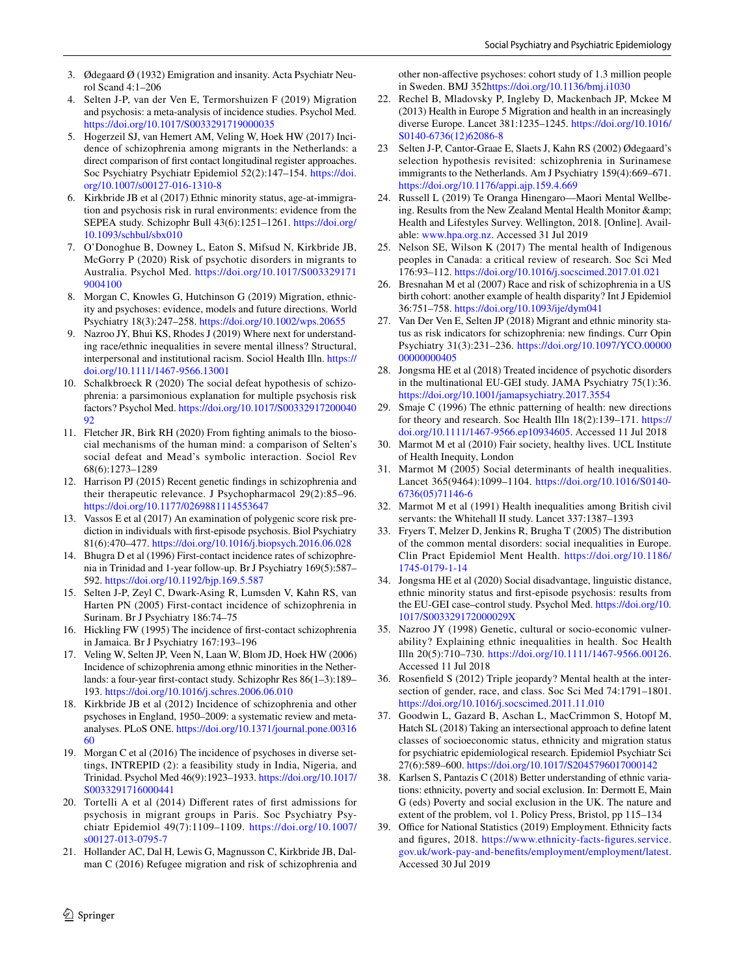- <span id="page-7-0"></span>3. Ødegaard Ø (1932) Emigration and insanity. Acta Psychiatr Neurol Scand 4:1–206
- <span id="page-7-1"></span>4. Selten J-P, van der Ven E, Termorshuizen F (2019) Migration and psychosis: a meta-analysis of incidence studies. Psychol Med. <https://doi.org/10.1017/S0033291719000035>
- <span id="page-7-2"></span>5. Hogerzeil SJ, van Hemert AM, Veling W, Hoek HW (2017) Incidence of schizophrenia among migrants in the Netherlands: a direct comparison of frst contact longitudinal register approaches. Soc Psychiatry Psychiatr Epidemiol 52(2):147–154. [https://doi.](https://doi.org/10.1007/s00127-016-1310-8) [org/10.1007/s00127-016-1310-8](https://doi.org/10.1007/s00127-016-1310-8)
- <span id="page-7-3"></span>6. Kirkbride JB et al (2017) Ethnic minority status, age-at-immigration and psychosis risk in rural environments: evidence from the SEPEA study. Schizophr Bull 43(6):1251–1261. [https://doi.org/](https://doi.org/10.1093/schbul/sbx010) [10.1093/schbul/sbx010](https://doi.org/10.1093/schbul/sbx010)
- <span id="page-7-4"></span>7. O'Donoghue B, Downey L, Eaton S, Mifsud N, Kirkbride JB, McGorry P (2020) Risk of psychotic disorders in migrants to Australia. Psychol Med. [https://doi.org/10.1017/S003329171](https://doi.org/10.1017/S0033291719004100) [9004100](https://doi.org/10.1017/S0033291719004100)
- <span id="page-7-5"></span>8. Morgan C, Knowles G, Hutchinson G (2019) Migration, ethnicity and psychoses: evidence, models and future directions. World Psychiatry 18(3):247–258. <https://doi.org/10.1002/wps.20655>
- <span id="page-7-6"></span>9. Nazroo JY, Bhui KS, Rhodes J (2019) Where next for understanding race/ethnic inequalities in severe mental illness? Structural, interpersonal and institutional racism. Sociol Health Illn. [https://](https://doi.org/10.1111/1467-9566.13001) [doi.org/10.1111/1467-9566.13001](https://doi.org/10.1111/1467-9566.13001)
- <span id="page-7-7"></span>10. Schalkbroeck R (2020) The social defeat hypothesis of schizophrenia: a parsimonious explanation for multiple psychosis risk factors? Psychol Med. [https://doi.org/10.1017/S00332917200040](https://doi.org/10.1017/S0033291720004092) [92](https://doi.org/10.1017/S0033291720004092)
- <span id="page-7-8"></span>11. Fletcher JR, Birk RH (2020) From fghting animals to the biosocial mechanisms of the human mind: a comparison of Selten's social defeat and Mead's symbolic interaction. Sociol Rev 68(6):1273–1289
- <span id="page-7-9"></span>12. Harrison PJ (2015) Recent genetic fndings in schizophrenia and their therapeutic relevance. J Psychopharmacol 29(2):85–96. <https://doi.org/10.1177/0269881114553647>
- <span id="page-7-10"></span>13. Vassos E et al (2017) An examination of polygenic score risk prediction in individuals with frst-episode psychosis. Biol Psychiatry 81(6):470–477.<https://doi.org/10.1016/j.biopsych.2016.06.028>
- <span id="page-7-11"></span>14. Bhugra D et al (1996) First-contact incidence rates of schizophrenia in Trinidad and 1-year follow-up. Br J Psychiatry 169(5):587– 592.<https://doi.org/10.1192/bjp.169.5.587>
- <span id="page-7-12"></span>15. Selten J-P, Zeyl C, Dwark-Asing R, Lumsden V, Kahn RS, van Harten PN (2005) First-contact incidence of schizophrenia in Surinam. Br J Psychiatry 186:74–75
- <span id="page-7-13"></span>16. Hickling FW (1995) The incidence of frst-contact schizophrenia in Jamaica. Br J Psychiatry 167:193–196
- <span id="page-7-16"></span>17. Veling W, Selten JP, Veen N, Laan W, Blom JD, Hoek HW (2006) Incidence of schizophrenia among ethnic minorities in the Netherlands: a four-year frst-contact study. Schizophr Res 86(1–3):189– 193.<https://doi.org/10.1016/j.schres.2006.06.010>
- <span id="page-7-15"></span>18. Kirkbride JB et al (2012) Incidence of schizophrenia and other psychoses in England, 1950–2009: a systematic review and metaanalyses. PLoS ONE. [https://doi.org/10.1371/journal.pone.00316](https://doi.org/10.1371/journal.pone.0031660) [60](https://doi.org/10.1371/journal.pone.0031660)
- <span id="page-7-14"></span>19. Morgan C et al (2016) The incidence of psychoses in diverse settings, INTREPID (2): a feasibility study in India, Nigeria, and Trinidad. Psychol Med 46(9):1923–1933. [https://doi.org/10.1017/](https://doi.org/10.1017/S0033291716000441) [S0033291716000441](https://doi.org/10.1017/S0033291716000441)
- <span id="page-7-17"></span>20. Tortelli A et al (2014) Diferent rates of frst admissions for psychosis in migrant groups in Paris. Soc Psychiatry Psychiatr Epidemiol 49(7):1109–1109. [https://doi.org/10.1007/](https://doi.org/10.1007/s00127-013-0795-7) [s00127-013-0795-7](https://doi.org/10.1007/s00127-013-0795-7)
- <span id="page-7-18"></span>21. Hollander AC, Dal H, Lewis G, Magnusson C, Kirkbride JB, Dalman C (2016) Refugee migration and risk of schizophrenia and

other non-afective psychoses: cohort study of 1.3 million people in Sweden. BMJ 352<https://doi.org/10.1136/bmj.i1030>

- <span id="page-7-19"></span>22. Rechel B, Mladovsky P, Ingleby D, Mackenbach JP, Mckee M (2013) Health in Europe 5 Migration and health in an increasingly diverse Europe. Lancet 381:1235–1245. [https://doi.org/10.1016/](https://doi.org/10.1016/S0140-6736(12)62086-8) [S0140-6736\(12\)62086-8](https://doi.org/10.1016/S0140-6736(12)62086-8)
- <span id="page-7-20"></span>23 Selten J-P, Cantor-Graae E, Slaets J, Kahn RS (2002) Ødegaard's selection hypothesis revisited: schizophrenia in Surinamese immigrants to the Netherlands. Am J Psychiatry 159(4):669–671. <https://doi.org/10.1176/appi.ajp.159.4.669>
- Russell L (2019) Te Oranga Hinengaro—Maori Mental Wellbeing. Results from the New Zealand Mental Health Monitor & Health and Lifestyles Survey. Wellington, 2018. [Online]. Available: [www.hpa.org.nz](http://www.hpa.org.nz). Accessed 31 Jul 2019
- <span id="page-7-21"></span>25. Nelson SE, Wilson K (2017) The mental health of Indigenous peoples in Canada: a critical review of research. Soc Sci Med 176:93–112.<https://doi.org/10.1016/j.socscimed.2017.01.021>
- 26. Bresnahan M et al (2007) Race and risk of schizophrenia in a US birth cohort: another example of health disparity? Int J Epidemiol 36:751–758.<https://doi.org/10.1093/ije/dym041>
- 27. Van Der Ven E, Selten JP (2018) Migrant and ethnic minority status as risk indicators for schizophrenia: new fndings. Curr Opin Psychiatry 31(3):231–236. [https://doi.org/10.1097/YCO.00000](https://doi.org/10.1097/YCO.0000000000000405) [00000000405](https://doi.org/10.1097/YCO.0000000000000405)
- <span id="page-7-22"></span>28. Jongsma HE et al (2018) Treated incidence of psychotic disorders in the multinational EU-GEI study. JAMA Psychiatry 75(1):36. <https://doi.org/10.1001/jamapsychiatry.2017.3554>
- <span id="page-7-23"></span>29. Smaje C (1996) The ethnic patterning of health: new directions for theory and research. Soc Health Illn 18(2):139–171. [https://](https://doi.org/10.1111/1467-9566.ep10934605) [doi.org/10.1111/1467-9566.ep10934605](https://doi.org/10.1111/1467-9566.ep10934605). Accessed 11 Jul 2018
- <span id="page-7-24"></span>30. Marmot M et al (2010) Fair society, healthy lives. UCL Institute of Health Inequity, London
- <span id="page-7-25"></span>31. Marmot M (2005) Social determinants of health inequalities. Lancet 365(9464):1099–1104. [https://doi.org/10.1016/S0140-](https://doi.org/10.1016/S0140-6736(05)71146-6) [6736\(05\)71146-6](https://doi.org/10.1016/S0140-6736(05)71146-6)
- <span id="page-7-26"></span>32. Marmot M et al (1991) Health inequalities among British civil servants: the Whitehall II study. Lancet 337:1387–1393
- <span id="page-7-27"></span>33. Fryers T, Melzer D, Jenkins R, Brugha T (2005) The distribution of the common mental disorders: social inequalities in Europe. Clin Pract Epidemiol Ment Health. [https://doi.org/10.1186/](https://doi.org/10.1186/1745-0179-1-14) [1745-0179-1-14](https://doi.org/10.1186/1745-0179-1-14)
- <span id="page-7-28"></span>34. Jongsma HE et al (2020) Social disadvantage, linguistic distance, ethnic minority status and frst-episode psychosis: results from the EU-GEI case–control study. Psychol Med. [https://doi.org/10.](https://doi.org/10.1017/S003329172000029X) [1017/S003329172000029X](https://doi.org/10.1017/S003329172000029X)
- <span id="page-7-29"></span>35. Nazroo JY (1998) Genetic, cultural or socio-economic vulnerability? Explaining ethnic inequalities in health. Soc Health Illn 20(5):710–730.<https://doi.org/10.1111/1467-9566.00126>. Accessed 11 Jul 2018
- <span id="page-7-30"></span>36. Rosenfeld S (2012) Triple jeopardy? Mental health at the intersection of gender, race, and class. Soc Sci Med 74:1791–1801. <https://doi.org/10.1016/j.socscimed.2011.11.010>
- <span id="page-7-31"></span>37. Goodwin L, Gazard B, Aschan L, MacCrimmon S, Hotopf M, Hatch SL (2018) Taking an intersectional approach to defne latent classes of socioeconomic status, ethnicity and migration status for psychiatric epidemiological research. Epidemiol Psychiatr Sci 27(6):589–600.<https://doi.org/10.1017/S2045796017000142>
- <span id="page-7-32"></span>38. Karlsen S, Pantazis C (2018) Better understanding of ethnic variations: ethnicity, poverty and social exclusion. In: Dermott E, Main G (eds) Poverty and social exclusion in the UK. The nature and extent of the problem, vol 1. Policy Press, Bristol, pp 115–134
- <span id="page-7-33"></span>39. Office for National Statistics (2019) Employment. Ethnicity facts and fgures, 2018. [https://www.ethnicity-facts-fgures.service.](https://www.ethnicity-facts-figures.service.gov.uk/work-pay-and-benefits/employment/employment/latest) [gov.uk/work-pay-and-benefits/employment/employment/latest](https://www.ethnicity-facts-figures.service.gov.uk/work-pay-and-benefits/employment/employment/latest). Accessed 30 Jul 2019